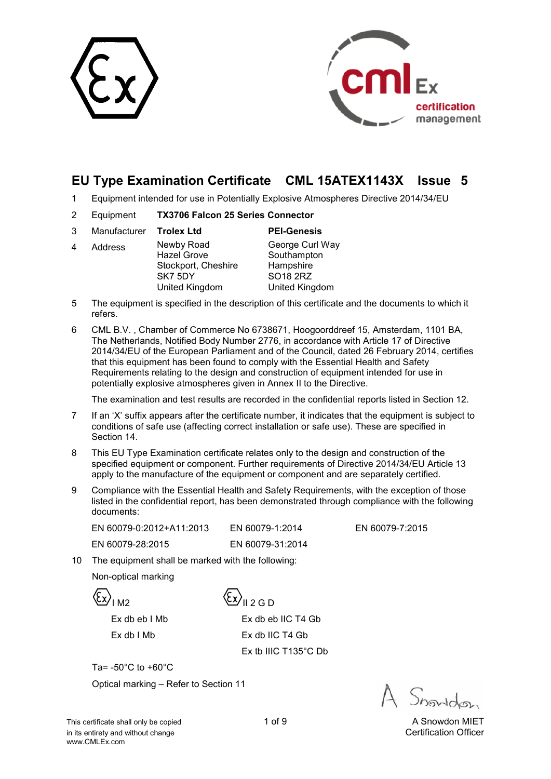



# **EU Type Examination Certificate CML 15ATEX1143X Issue 5**

- 1 Equipment intended for use in Potentially Explosive Atmospheres Directive 2014/34/EU
- 2 Equipment **TX3706 Falcon 25 Series Connector**

| 3 | Manufacturer <b>Trolex Ltd</b> |                                                                                      | <b>PEI-Genesis</b>                                                        |
|---|--------------------------------|--------------------------------------------------------------------------------------|---------------------------------------------------------------------------|
| 4 | Address                        | Newby Road<br><b>Hazel Grove</b><br>Stockport, Cheshire<br>SK7 5DY<br>United Kingdom | George Curl Way<br>Southampton<br>Hampshire<br>SO18 2RZ<br>United Kingdom |
|   |                                |                                                                                      |                                                                           |

- 5 The equipment is specified in the description of this certificate and the documents to which it refers.
- 6 CML B.V. , Chamber of Commerce No 6738671, Hoogoorddreef 15, Amsterdam, 1101 BA, The Netherlands, Notified Body Number 2776, in accordance with Article 17 of Directive 2014/34/EU of the European Parliament and of the Council, dated 26 February 2014, certifies that this equipment has been found to comply with the Essential Health and Safety Requirements relating to the design and construction of equipment intended for use in potentially explosive atmospheres given in Annex II to the Directive.

The examination and test results are recorded in the confidential reports listed in Section 12.

- 7 If an 'X' suffix appears after the certificate number, it indicates that the equipment is subject to conditions of safe use (affecting correct installation or safe use). These are specified in Section 14.
- 8 This EU Type Examination certificate relates only to the design and construction of the specified equipment or component. Further requirements of Directive 2014/34/EU Article 13 apply to the manufacture of the equipment or component and are separately certified.
- 9 Compliance with the Essential Health and Safety Requirements, with the exception of those listed in the confidential report, has been demonstrated through compliance with the following documents:

| EN 60079-0:2012+A11:2013 | EN 60079-1:2014  |
|--------------------------|------------------|
| EN 60079-28:2015         | EN 60079-31:2014 |

EN 60079-7:2015

10 The equipment shall be marked with the following:

Non-optical marking

 $\langle \xi_{\mathbf{x}} \rangle_{\mathbf{I} \mathbf{A}^2}$ 

 Ex db eb I Mb Ex db eb IIC T4 Gb Ex db I Mb Ex db IIC T4 Gb Ex tb IIIC T135°C Db

Ta= -50°C to +60°C

Optical marking – Refer to Section 11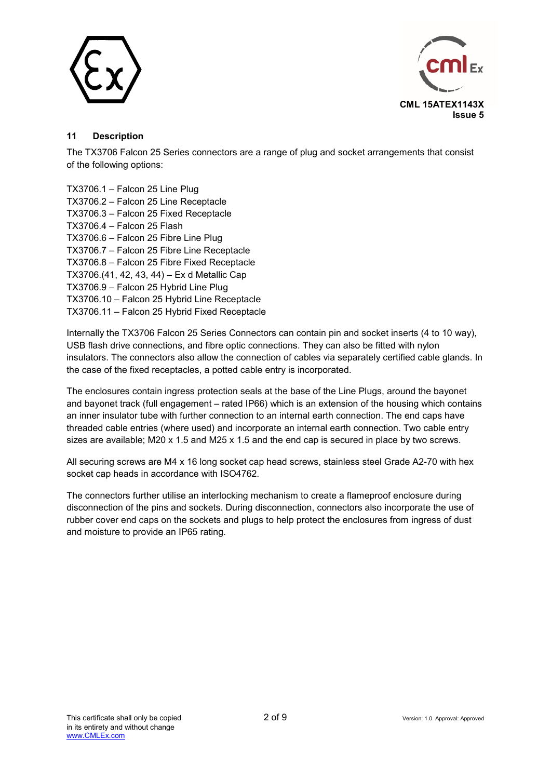



#### **11 Description**

The TX3706 Falcon 25 Series connectors are a range of plug and socket arrangements that consist of the following options:

TX3706.1 – Falcon 25 Line Plug TX3706.2 – Falcon 25 Line Receptacle TX3706.3 – Falcon 25 Fixed Receptacle TX3706.4 – Falcon 25 Flash TX3706.6 – Falcon 25 Fibre Line Plug TX3706.7 – Falcon 25 Fibre Line Receptacle TX3706.8 – Falcon 25 Fibre Fixed Receptacle TX3706.(41, 42, 43, 44) – Ex d Metallic Cap TX3706.9 – Falcon 25 Hybrid Line Plug TX3706.10 – Falcon 25 Hybrid Line Receptacle TX3706.11 – Falcon 25 Hybrid Fixed Receptacle

Internally the TX3706 Falcon 25 Series Connectors can contain pin and socket inserts (4 to 10 way), USB flash drive connections, and fibre optic connections. They can also be fitted with nylon insulators. The connectors also allow the connection of cables via separately certified cable glands. In the case of the fixed receptacles, a potted cable entry is incorporated.

The enclosures contain ingress protection seals at the base of the Line Plugs, around the bayonet and bayonet track (full engagement – rated IP66) which is an extension of the housing which contains an inner insulator tube with further connection to an internal earth connection. The end caps have threaded cable entries (where used) and incorporate an internal earth connection. Two cable entry sizes are available; M20 x 1.5 and M25 x 1.5 and the end cap is secured in place by two screws.

All securing screws are M4 x 16 long socket cap head screws, stainless steel Grade A2-70 with hex socket cap heads in accordance with ISO4762.

The connectors further utilise an interlocking mechanism to create a flameproof enclosure during disconnection of the pins and sockets. During disconnection, connectors also incorporate the use of rubber cover end caps on the sockets and plugs to help protect the enclosures from ingress of dust and moisture to provide an IP65 rating.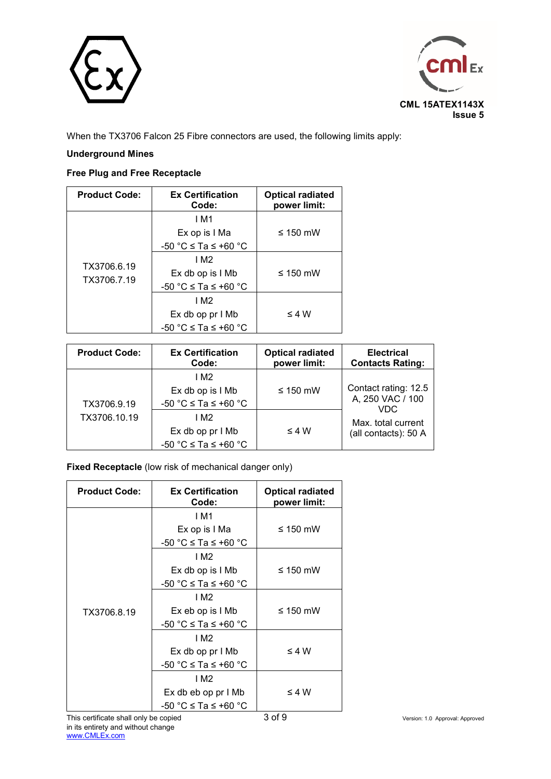



When the TX3706 Falcon 25 Fibre connectors are used, the following limits apply:

#### **Underground Mines**

### **Free Plug and Free Receptacle**

| <b>Product Code:</b> | <b>Ex Certification</b><br>Code: | <b>Optical radiated</b><br>power limit: |
|----------------------|----------------------------------|-----------------------------------------|
|                      | 1 M1                             |                                         |
|                      | Ex op is I Ma                    | $\leq$ 150 mW                           |
|                      | $-50$ °C $\leq$ Ta $\leq$ +60 °C |                                         |
| TX3706.6.19          | 1 M <sub>2</sub>                 |                                         |
| TX3706.7.19          | Ex db op is I Mb                 | $\leq 150$ mW                           |
|                      | $-50$ °C $\leq$ Ta $\leq$ +60 °C |                                         |
|                      | 1 M <sub>2</sub>                 |                                         |
|                      | Ex db op pr I Mb                 | $\leq 4 W$                              |
|                      | $-50$ °C $\leq$ Ta $\leq$ +60 °C |                                         |

| <b>Product Code:</b> | <b>Ex Certification</b><br>Code:                                         | <b>Optical radiated</b><br>power limit: | <b>Electrical</b><br><b>Contacts Rating:</b>     |
|----------------------|--------------------------------------------------------------------------|-----------------------------------------|--------------------------------------------------|
| TX3706.9.19          | 1 M <sub>2</sub><br>Ex db op is I Mb<br>$-50$ °C $\leq$ Ta $\leq$ +60 °C | $\leq$ 150 mW                           | Contact rating: 12.5<br>A, 250 VAC / 100<br>VDC. |
| TX3706.10.19         | I M2<br>Ex db op pr l Mb<br>-50 °C $\leq$ Ta $\leq$ +60 °C               | $\leq 4 W$                              | Max. total current<br>(all contacts): 50 A       |

**Fixed Receptacle** (low risk of mechanical danger only)

| <b>Product Code:</b> | <b>Ex Certification</b><br>Code: | <b>Optical radiated</b><br>power limit: |
|----------------------|----------------------------------|-----------------------------------------|
|                      | I M1                             |                                         |
|                      | Ex op is I Ma                    | $\leq$ 150 mW                           |
|                      | -50 °C ≤ Ta ≤ +60 °C             |                                         |
|                      | I M2                             |                                         |
|                      | Ex db op is I Mb                 | ≤ 150 mW                                |
|                      | $-50$ °C $\leq$ Ta $\leq$ +60 °C |                                         |
|                      | I M2                             |                                         |
| TX3706.8.19          | Ex eb op is I Mb                 | $\leq$ 150 mW                           |
|                      | $-50$ °C $\leq$ Ta $\leq$ +60 °C |                                         |
|                      | 1 M <sub>2</sub>                 |                                         |
|                      | Ex db op pr I Mb                 | $\leq 4 W$                              |
|                      | $-50$ °C $\leq$ Ta $\leq$ +60 °C |                                         |
|                      | I M2                             |                                         |
|                      | Ex db eb op pr I Mb              | ≤4 W                                    |
|                      | $-50$ °C $\le$ Ta $\le$ +60 °C   |                                         |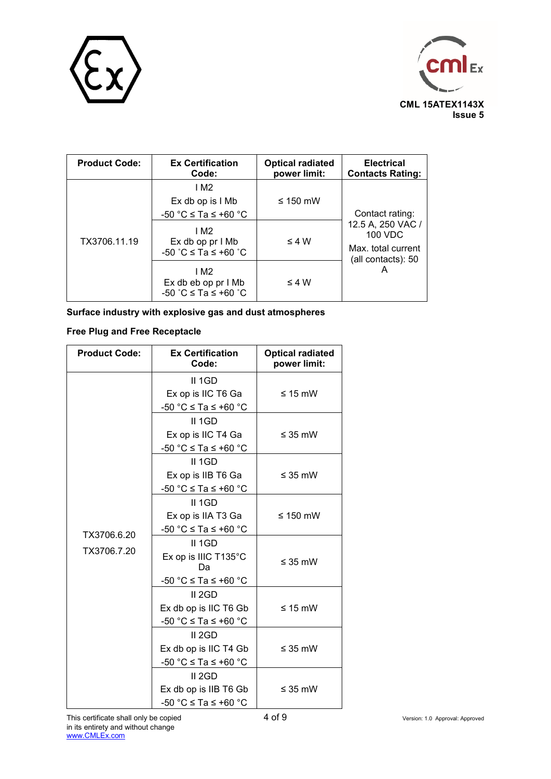



| <b>Product Code:</b> | <b>Ex Certification</b><br>Code:                                         | <b>Optical radiated</b><br>power limit: | <b>Electrical</b><br><b>Contacts Rating:</b>                             |
|----------------------|--------------------------------------------------------------------------|-----------------------------------------|--------------------------------------------------------------------------|
|                      | 1 M <sub>2</sub><br>Ex db op is I Mb<br>$-50$ °C $\leq$ Ta $\leq$ +60 °C | $\leq$ 150 mW                           | Contact rating:                                                          |
| TX3706.11.19         | I M2<br>Ex db op pr I Mb<br>-50 °C ≤ Ta ≤ +60 °C                         | $\leq 4 W$                              | 12.5 A, 250 VAC /<br>100 VDC<br>Max. total current<br>(all contacts): 50 |
|                      | I M2<br>Ex db eb op pr I Mb<br>-50 °C ≤ Ta ≤ +60 °C                      | $\leq 4 W$                              | А                                                                        |

**Surface industry with explosive gas and dust atmospheres** 

### **Free Plug and Free Receptacle**

| <b>Product Code:</b> | <b>Ex Certification</b><br>Code:                                               | <b>Optical radiated</b><br>power limit: |
|----------------------|--------------------------------------------------------------------------------|-----------------------------------------|
|                      | II 1GD<br>Ex op is IIC T6 Ga<br>-50 °C ≤ Ta ≤ +60 °C                           | $\leq 15$ mW                            |
|                      | II 1GD<br>Ex op is IIC T4 Ga<br>-50 °C $\leq$ Ta $\leq$ +60 °C                 | $\leq$ 35 mW                            |
|                      | II 1GD<br>Ex op is IIB T6 Ga<br>-50 °C $\leq$ Ta $\leq$ +60 °C                 | $\leq$ 35 mW                            |
| TX3706.6.20          | II 1GD<br>Ex op is IIA T3 Ga<br>$-50$ °C $\leq$ Ta $\leq$ +60 °C               | ≤ 150 mW                                |
| TX3706.7.20          | $II$ 1GD<br>Ex op is IIIC T135°C<br>Da<br>-50 °C $\leq$ Ta $\leq$ +60 °C       | $\leq$ 35 mW                            |
|                      | II 2GD<br>Ex db op is IIC T6 Gb<br>$-50$ °C $\leq$ Ta $\leq$ +60 °C            | $\leq 15$ mW                            |
|                      | II <sub>2GD</sub><br>Ex db op is IIC T4 Gb<br>-50 °C $\leq$ Ta $\leq$ +60 °C   | $\leq$ 35 mW                            |
|                      | II <sub>2GD</sub><br>Ex db op is IIB T6 Gb<br>$-50$ °C $\leq$ Ta $\leq$ +60 °C | ≤ 35 mW                                 |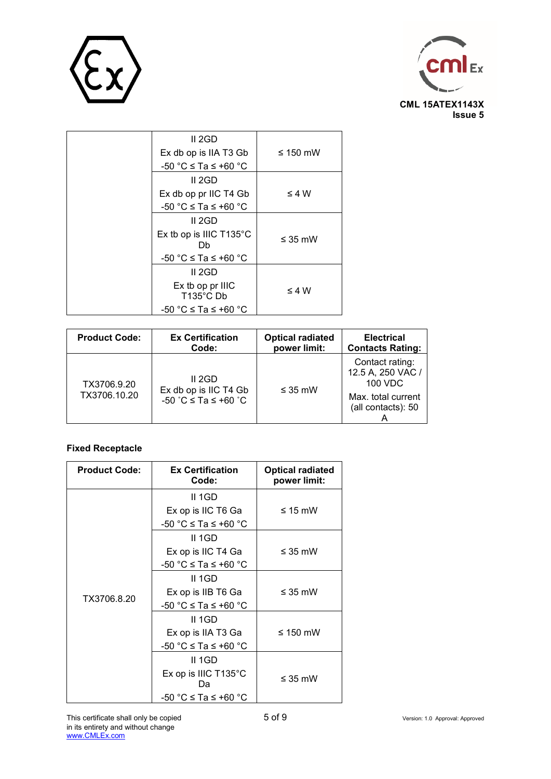



| II 2GD                                  |               |
|-----------------------------------------|---------------|
| Ex db op is IIA T3 Gb                   | $\leq 150$ mW |
| $-50$ °C $\leq$ Ta $\leq$ +60 °C        |               |
| II 2GD                                  |               |
| Ex db op pr IIC T4 Gb                   | $\leq 4 W$    |
| $-50$ °C $\leq$ Ta $\leq$ +60 °C        |               |
| II 2GD                                  |               |
| Ex tb op is IIIC T135°C<br>Db           | $\leq$ 35 mW  |
| $-50$ °C $\leq$ Ta $\leq$ +60 °C        |               |
| II 2GD                                  |               |
| Ex tb op pr IIIC<br>$T135^{\circ}$ C Db | $\leq 4 W$    |
| $-50$ °C $\leq$ Ta $\leq$ +60 °C        |               |

| <b>Product Code:</b>        | <b>Ex Certification</b>                                 | <b>Optical radiated</b> | <b>Electrical</b>                                                                           |
|-----------------------------|---------------------------------------------------------|-------------------------|---------------------------------------------------------------------------------------------|
|                             | Code:                                                   | power limit:            | <b>Contacts Rating:</b>                                                                     |
| TX3706.9.20<br>TX3706.10.20 | II 2GD<br>Ex db op is IIC T4 Gb<br>-50 °C ≤ Ta ≤ +60 °C | $\leq$ 35 mW            | Contact rating:<br>12.5 A, 250 VAC /<br>100 VDC<br>Max. total current<br>(all contacts): 50 |

## **Fixed Receptacle**

| <b>Product Code:</b> | <b>Ex Certification</b><br>Code: | <b>Optical radiated</b><br>power limit: |
|----------------------|----------------------------------|-----------------------------------------|
|                      | II 1GD                           |                                         |
|                      | Ex op is IIC T6 Ga               | $\leq 15$ mW                            |
|                      | $-50$ °C $\leq$ Ta $\leq$ +60 °C |                                         |
|                      | $II$ 1GD                         |                                         |
|                      | Ex op is IIC T4 Ga               | $\leq$ 35 mW                            |
|                      | -50 °C ≤ Ta ≤ +60 °C             |                                         |
|                      | II 1GD                           |                                         |
| TX3706.8.20          | Ex op is IIB T6 Ga               | $\leq$ 35 mW                            |
|                      | -50 °C ≤ Ta ≤ +60 °C             |                                         |
|                      | $II$ 1GD                         |                                         |
|                      | Ex op is IIA T3 Ga               | $\leq$ 150 mW                           |
|                      | -50 °C $\leq$ Ta $\leq$ +60 °C   |                                         |
|                      | $II$ 1GD                         |                                         |
|                      | Ex op is IIIC T135°C<br>Dа       | $\leq$ 35 mW                            |
|                      | -50 °C ≤ Ta ≤ +60 °C             |                                         |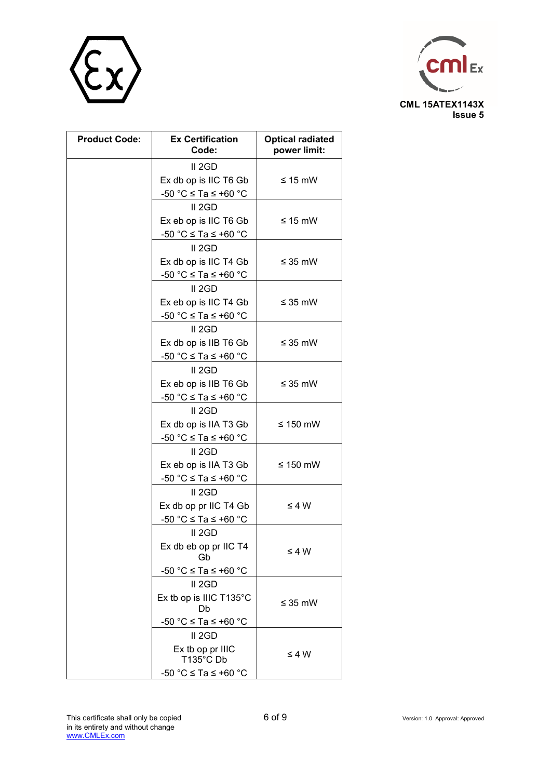



| <b>Product Code:</b> | <b>Ex Certification</b><br>Code: | <b>Optical radiated</b><br>power limit: |
|----------------------|----------------------------------|-----------------------------------------|
|                      | II <sub>2GD</sub>                |                                         |
|                      | Ex db op is IIC T6 Gb            | $\leq 15$ mW                            |
|                      | -50 °C $\leq$ Ta $\leq$ +60 °C   |                                         |
|                      | II <sub>2</sub> GD               |                                         |
|                      | Ex eb op is IIC T6 Gb            | $\leq 15$ mW                            |
|                      | -50 °C $\leq$ Ta $\leq$ +60 °C   |                                         |
|                      | II <sub>2GD</sub>                |                                         |
|                      | Ex db op is IIC T4 Gb            | $\leq$ 35 mW                            |
|                      | -50 °C $\leq$ Ta $\leq$ +60 °C   |                                         |
|                      | II <sub>2GD</sub>                |                                         |
|                      | Ex eb op is IIC T4 Gb            | $\leq$ 35 mW                            |
|                      | -50 °C $\leq$ Ta $\leq$ +60 °C   |                                         |
|                      | II <sub>2</sub> GD               |                                         |
|                      | Ex db op is IIB T6 Gb            | $\leq$ 35 mW                            |
|                      | -50 °C $\leq$ Ta $\leq$ +60 °C   |                                         |
|                      | II <sub>2</sub> GD               |                                         |
|                      | Ex eb op is IIB T6 Gb            | $\leq$ 35 mW                            |
|                      | -50 °C $\leq$ Ta $\leq$ +60 °C   |                                         |
|                      | II <sub>2GD</sub>                |                                         |
|                      | Ex db op is IIA T3 Gb            | ≤ 150 mW                                |
|                      | -50 °C $\leq$ Ta $\leq$ +60 °C   |                                         |
|                      | II <sub>2</sub> GD               |                                         |
|                      | Ex eb op is IIA T3 Gb            | ≤ 150 mW                                |
|                      | -50 °C $\leq$ Ta $\leq$ +60 °C   |                                         |
|                      | II <sub>2</sub> GD               |                                         |
|                      | Ex db op pr IIC T4 Gb            | $\leq 4 W$                              |
|                      | -50 °C $\leq$ Ta $\leq$ +60 °C   |                                         |
|                      | II <sub>2GD</sub>                |                                         |
|                      | Ex db eb op pr IIC T4<br>Gb      | $\leq 4 W$                              |
|                      | -50 °C $\leq$ Ta $\leq$ +60 °C   |                                         |
|                      | II 2GD                           |                                         |
|                      | Ex tb op is IIIC T135°C<br>Db    | $\leq 35$ mW                            |
|                      | -50 °C $\leq$ Ta $\leq$ +60 °C   |                                         |
|                      | II <sub>2GD</sub>                |                                         |
|                      | Ex tb op pr IIIC<br>T135°C Db    | $\leq 4 W$                              |
|                      | -50 °C ≤ Ta ≤ +60 °C             |                                         |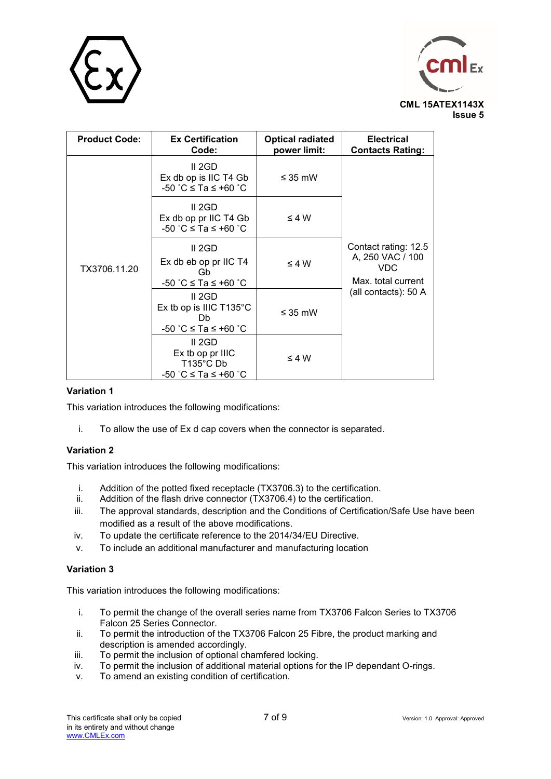



| <b>Product Code:</b> | <b>Ex Certification</b><br>Code:                                          | <b>Optical radiated</b><br>power limit: | <b>Electrical</b><br><b>Contacts Rating:</b>                                                  |
|----------------------|---------------------------------------------------------------------------|-----------------------------------------|-----------------------------------------------------------------------------------------------|
|                      | II 2GD<br>Ex db op is IIC T4 Gb<br>-50 °C ≤ Ta ≤ +60 °C                   | $\leq$ 35 mW                            | Contact rating: 12.5<br>A, 250 VAC / 100<br>VDC<br>Max. total current<br>(all contacts): 50 A |
|                      | II 2GD<br>Ex db op pr IIC T4 Gb<br>-50 °C ≤ Ta ≤ +60 °C                   | $\leq 4 W$                              |                                                                                               |
| TX3706.11.20         | II 2GD<br>Ex db eb op pr IIC T4<br>Gb<br>-50 °C ≤ Ta ≤ +60 °C             | $\leq 4 W$                              |                                                                                               |
|                      | II 2GD<br>Ex tb op is IIIC T135°C<br>Db<br>-50 °C ≤ Ta ≤ +60 °C           | $\leq$ 35 mW                            |                                                                                               |
|                      | II 2GD<br>Ex tb op pr IIIC<br>$T135^{\circ}$ C Db<br>-50 °C ≤ Ta ≤ +60 °C | $\leq 4 W$                              |                                                                                               |

### **Variation 1**

This variation introduces the following modifications:

i. To allow the use of Ex d cap covers when the connector is separated.

### **Variation 2**

This variation introduces the following modifications:

- i. Addition of the potted fixed receptacle (TX3706.3) to the certification.
- ii. Addition of the flash drive connector  $(TX3706.4)$  to the certification.
- iii. The approval standards, description and the Conditions of Certification/Safe Use have been modified as a result of the above modifications.
- iv. To update the certificate reference to the 2014/34/EU Directive.
- v. To include an additional manufacturer and manufacturing location

#### **Variation 3**

This variation introduces the following modifications:

- i. To permit the change of the overall series name from TX3706 Falcon Series to TX3706 Falcon 25 Series Connector.
- ii. To permit the introduction of the TX3706 Falcon 25 Fibre, the product marking and description is amended accordingly.
- iii. To permit the inclusion of optional chamfered locking.
- To permit the inclusion of additional material options for the IP dependant O-rings.
- v. To amend an existing condition of certification.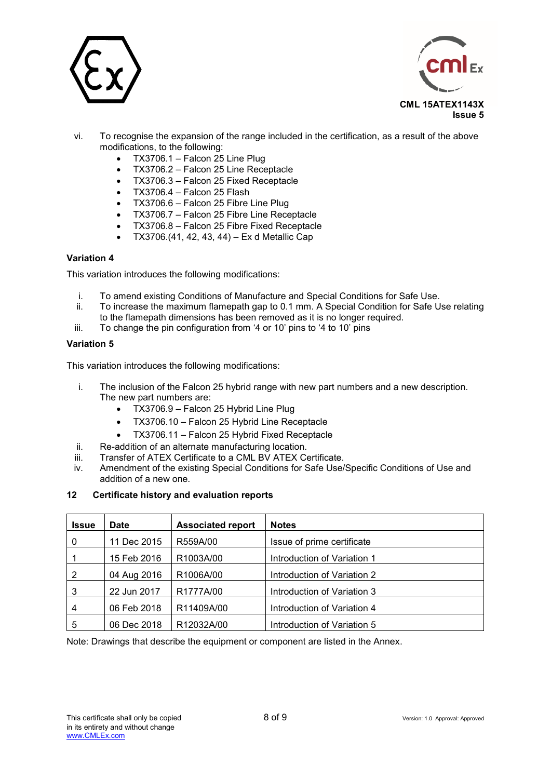



- vi. To recognise the expansion of the range included in the certification, as a result of the above modifications, to the following:
	- $\bullet$  TX3706.1 Falcon 25 Line Plug
	- TX3706.2 Falcon 25 Line Receptacle
	- TX3706.3 Falcon 25 Fixed Receptacle
	- $\bullet$  TX3706.4 Falcon 25 Flash
	- TX3706.6 Falcon 25 Fibre Line Plug
	- TX3706.7 Falcon 25 Fibre Line Receptacle
	- TX3706.8 Falcon 25 Fibre Fixed Receptacle
	- TX3706.(41, 42, 43, 44) Ex d Metallic Cap

#### **Variation 4**

This variation introduces the following modifications:

- i. To amend existing Conditions of Manufacture and Special Conditions for Safe Use.
- ii. To increase the maximum flamepath gap to 0.1 mm. A Special Condition for Safe Use relating to the flamepath dimensions has been removed as it is no longer required.
- iii. To change the pin configuration from '4 or 10' pins to '4 to 10' pins

#### **Variation 5**

This variation introduces the following modifications:

- i. The inclusion of the Falcon 25 hybrid range with new part numbers and a new description. The new part numbers are:
	- TX3706.9 Falcon 25 Hybrid Line Plug
	- TX3706.10 Falcon 25 Hybrid Line Receptacle
	- TX3706.11 Falcon 25 Hybrid Fixed Receptacle
- ii. Re-addition of an alternate manufacturing location.
- iii. Transfer of ATEX Certificate to a CML BV ATEX Certificate.
- iv. Amendment of the existing Special Conditions for Safe Use/Specific Conditions of Use and addition of a new one.

### **12 Certificate history and evaluation reports**

| <b>Issue</b> | <b>Date</b> | <b>Associated report</b> | <b>Notes</b>                |
|--------------|-------------|--------------------------|-----------------------------|
| 0            | 11 Dec 2015 | R559A/00                 | Issue of prime certificate  |
|              | 15 Feb 2016 | R1003A/00                | Introduction of Variation 1 |
| 2            | 04 Aug 2016 | R1006A/00                | Introduction of Variation 2 |
| 3            | 22 Jun 2017 | R1777A/00                | Introduction of Variation 3 |
| 4            | 06 Feb 2018 | R11409A/00               | Introduction of Variation 4 |
| 5            | 06 Dec 2018 | R12032A/00               | Introduction of Variation 5 |

Note: Drawings that describe the equipment or component are listed in the Annex.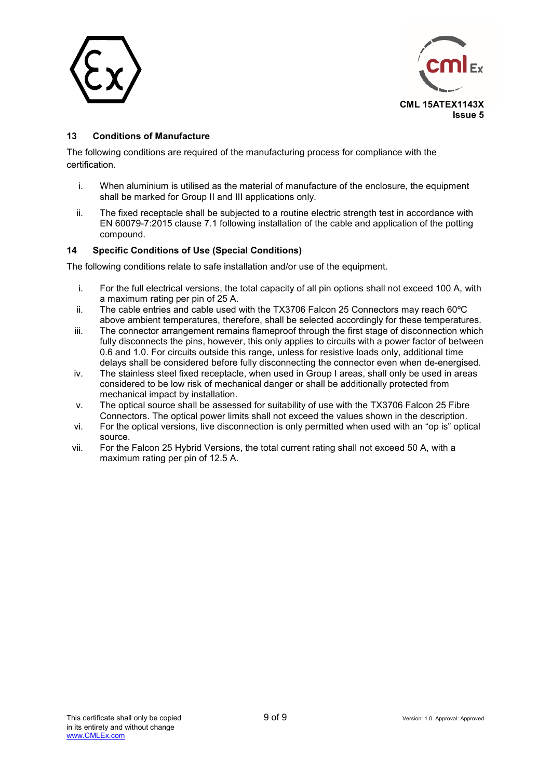



### **13 Conditions of Manufacture**

The following conditions are required of the manufacturing process for compliance with the certification.

- i. When aluminium is utilised as the material of manufacture of the enclosure, the equipment shall be marked for Group II and III applications only.
- ii. The fixed receptacle shall be subjected to a routine electric strength test in accordance with EN 60079-7:2015 clause 7.1 following installation of the cable and application of the potting compound.

### **14 Specific Conditions of Use (Special Conditions)**

The following conditions relate to safe installation and/or use of the equipment.

- i. For the full electrical versions, the total capacity of all pin options shall not exceed 100 A, with a maximum rating per pin of 25 A.
- ii. The cable entries and cable used with the TX3706 Falcon 25 Connectors may reach 60ºC above ambient temperatures, therefore, shall be selected accordingly for these temperatures.
- iii. The connector arrangement remains flameproof through the first stage of disconnection which fully disconnects the pins, however, this only applies to circuits with a power factor of between 0.6 and 1.0. For circuits outside this range, unless for resistive loads only, additional time delays shall be considered before fully disconnecting the connector even when de-energised.
- iv. The stainless steel fixed receptacle, when used in Group I areas, shall only be used in areas considered to be low risk of mechanical danger or shall be additionally protected from mechanical impact by installation.
- v. The optical source shall be assessed for suitability of use with the TX3706 Falcon 25 Fibre Connectors. The optical power limits shall not exceed the values shown in the description.
- vi. For the optical versions, live disconnection is only permitted when used with an "op is" optical source.
- vii. For the Falcon 25 Hybrid Versions, the total current rating shall not exceed 50 A, with a maximum rating per pin of 12.5 A.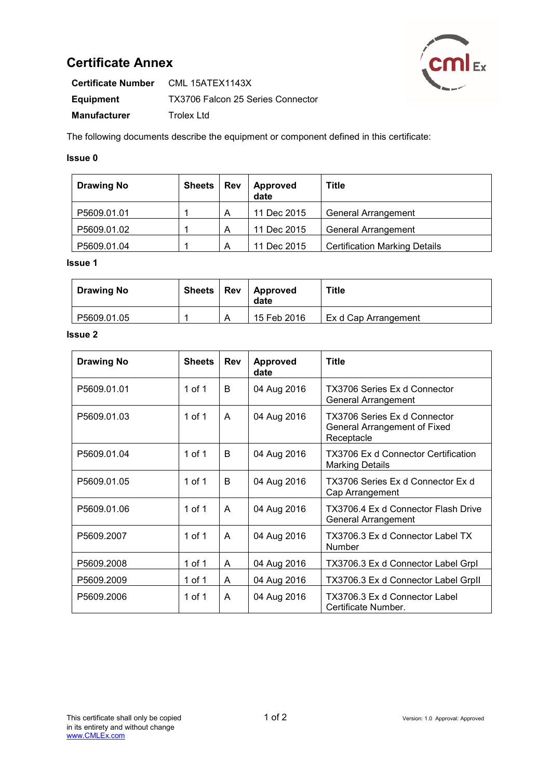# **Certificate Annex**



| <b>Certificate Number</b> | CML 15ATEX1143X                   |
|---------------------------|-----------------------------------|
| Equipment                 | TX3706 Falcon 25 Series Connector |
| <b>Manufacturer</b>       | Trolex Ltd                        |

The following documents describe the equipment or component defined in this certificate:

## **Issue 0**

| <b>Drawing No</b> | <b>Sheets</b> | <b>Rev</b> | Approved<br>date | Title                                |
|-------------------|---------------|------------|------------------|--------------------------------------|
| P5609.01.01       |               | А          | 11 Dec 2015      | <b>General Arrangement</b>           |
| P5609.01.02       |               | A          | 11 Dec 2015      | <b>General Arrangement</b>           |
| P5609.01.04       |               | А          | 11 Dec 2015      | <b>Certification Marking Details</b> |

#### **Issue 1**

| <b>Drawing No</b> | Sheets   Rev | <b>Approved</b><br>date | Title                |
|-------------------|--------------|-------------------------|----------------------|
| P5609.01.05       |              | 15 Feb 2016             | Ex d Cap Arrangement |

### **Issue 2**

| <b>Drawing No</b> | <b>Sheets</b> | <b>Rev</b>   | <b>Approved</b><br>date | <b>Title</b>                                                               |
|-------------------|---------------|--------------|-------------------------|----------------------------------------------------------------------------|
| P5609.01.01       | 1 of 1        | <sub>R</sub> | 04 Aug 2016             | TX3706 Series Ex d Connector<br>General Arrangement                        |
| P5609.01.03       | 1 of 1        | $\mathsf{A}$ | 04 Aug 2016             | TX3706 Series Ex d Connector<br>General Arrangement of Fixed<br>Receptacle |
| P5609.01.04       | 1 of 1        | B            | 04 Aug 2016             | <b>TX3706 Ex d Connector Certification</b><br><b>Marking Details</b>       |
| P5609.01.05       | 1 of 1        | <sub>R</sub> | 04 Aug 2016             | TX3706 Series Ex d Connector Ex d<br>Cap Arrangement                       |
| P5609.01.06       | 1 of 1        | A            | 04 Aug 2016             | TX3706.4 Ex d Connector Flash Drive<br>General Arrangement                 |
| P5609.2007        | $1$ of $1$    | $\mathsf{A}$ | 04 Aug 2016             | TX3706.3 Ex d Connector Label TX<br>Number                                 |
| P5609.2008        | 1 of 1        | A            | 04 Aug 2016             | TX3706.3 Ex d Connector Label Grpl                                         |
| P5609.2009        | 1 of 1        | A            | 04 Aug 2016             | TX3706.3 Ex d Connector Label Grpll                                        |
| P5609.2006        | 1 of 1        | A            | 04 Aug 2016             | TX3706.3 Ex d Connector Label<br>Certificate Number.                       |